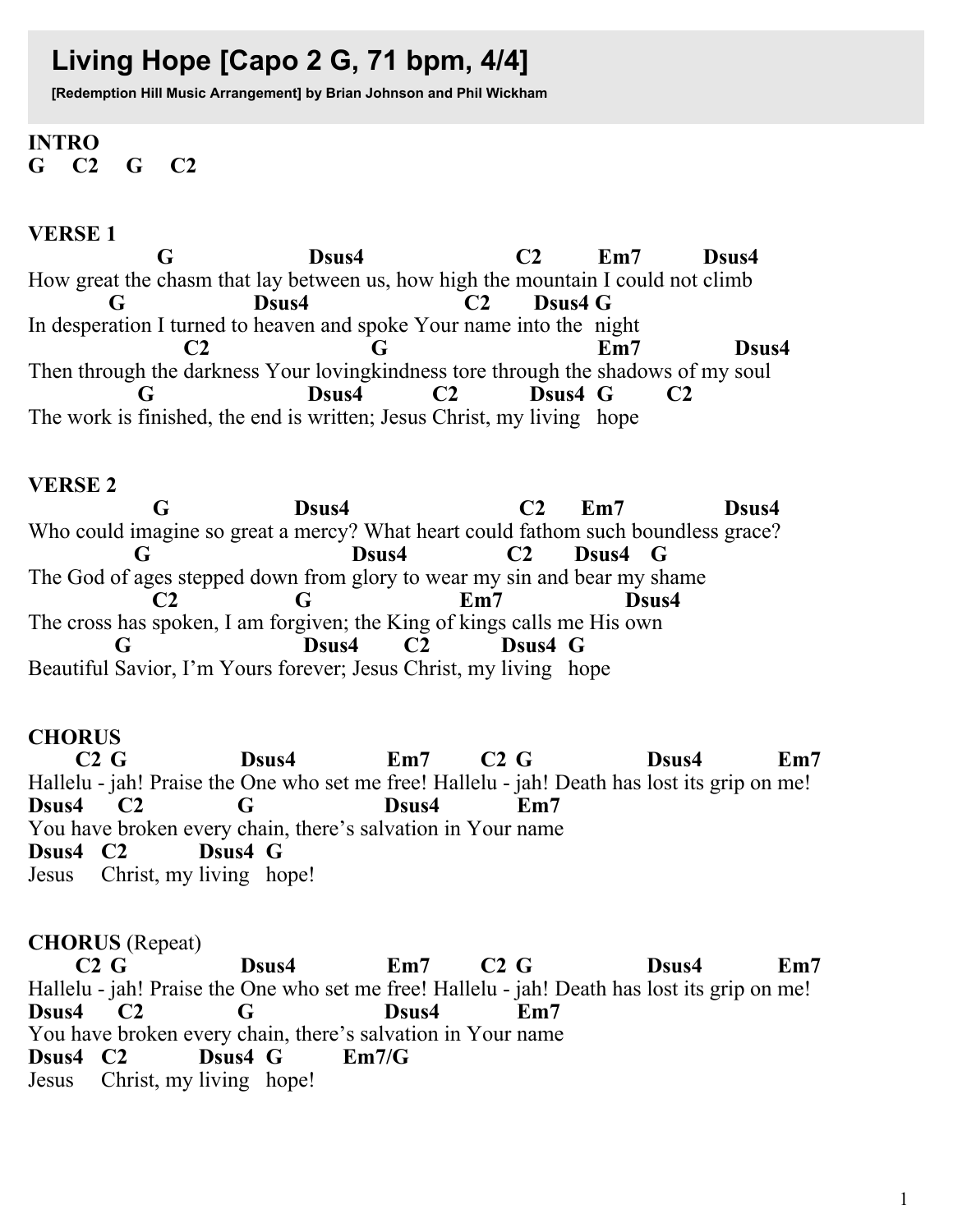# Living Hope [Capo 2 G, 71 bpm, 4/4]

[Redemption Hill Music Arrangement] by Brian Johnson and Phil Wickham

#### **INTRO**  $C<sub>2</sub>$  $G$   $C2$  $\mathbf G$

# **VERSE1**

G Dsus4  $C2$  $Em7$ Dsus4 How great the chasm that lay between us, how high the mountain I could not climb Dsus4  $C<sub>2</sub>$ Dsus4 G G In desperation I turned to heaven and spoke Your name into the night  $Em7$ Dsus4  $C2$ G Then through the darkness Your loving kindness tore through the shadows of my soul Dsus4  $C2$ Dsus4 G G  $C<sub>2</sub>$ The work is finished, the end is written; Jesus Christ, my living hope

# **VERSE 2**

G Dsus4  $C<sub>2</sub>$  $Em7$ Dsus4 Who could imagine so great a mercy? What heart could fathom such boundless grace? G Dsus4  $C2$ Dsus4 G The God of ages stepped down from glory to wear my sin and bear my shame  $Em7$ Dsus4  $C<sub>2</sub>$ G The cross has spoken, I am forgiven; the King of kings calls me His own Dsus4  $C2$ Dsus4 G Beautiful Savior, I'm Yours forever; Jesus Christ, my living hope

# **CHORUS**

 $C2G$  $C2G$ Dsus4  $Em7$ Dsus4  $Em7$ Hallelu - jah! Praise the One who set me free! Hallelu - jah! Death has lost its grip on me! Dsus4  $C2$ G Dsus4 Em7 You have broken every chain, there's salvation in Your name Dsus4 C<sub>2</sub> Dsus4 G Jesus Christ, my living hope!

# **CHORUS** (Repeat)

 $C2G$  $C2G$ Dsus4  $Em7$ Dsus4  $Em7$ Hallelu - jah! Praise the One who set me free! Hallelu - jah! Death has lost its grip on me! Dsus4 G Dsus4  $Em7$  $C<sub>2</sub>$ You have broken every chain, there's salvation in Your name Dsus4 C<sub>2</sub>  $Em7/G$ Dsus4 G Jesus Christ, my living hope!